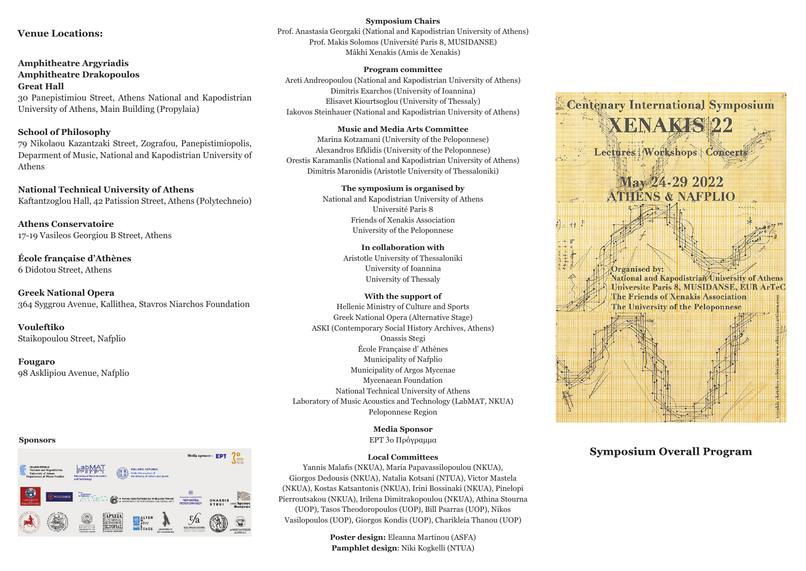## **Venue Locations:**

**Amphitheatre Argyriadis Amphitheatre Drakopoulos Great Hall** 30 Panepistimiou Street, Athens National and Kapodistrian University of Athens, Main Building (Propylaia)

#### **School of Philosophy**

79 Nikolaou Kazantzaki Street, Zografou, Panepistimiopolis, Deparment of Music, National and Kapodistrian University of Athens

**National Technical University of Athens** Kaftantzoglou Hall, 42 Patission Street, Athens (Polytechneio)

**Athens Conservatoire** 17-19 Vasileos Georgiou B Street, Athens

**École française d'Athènes** 6 Didotou Street, Athens

**Greek National Opera** 364 Syggrou Avenue, Kallithea, Stavros Niarchos Foundation

**Vouleftiko** Staikopoulou Street, Nafplio

**Fougaro** 98 Asklipiou Avenue, Nafplio

#### **Sponsors**



**Symposium Chairs**

Prof. Anastasia Georgaki (National and Kapodistrian University of Athens) Prof. Makis Solomos (Université Paris 8, MUSIDANSΕ) Mâkhi Xenakis (Amis de Xenakis)

#### **Program committee**

Areti Andreopoulou (National and Kapodistrian University of Athens) Dimitris Exarchos (University of Ioannina) Elisavet Kiourtsoglou (University of Thessaly) Iakovos Steinhauer (National and Kapodistrian University of Athens)

#### **Music and Media Arts Committee**

Marina Kotzamani (University of the Peloponnese) Alexandros Efklidis (University of the Peloponnese) Orestis Karamanlis (National and Kapodistrian University of Athens) Dimitris Maronidis (Aristotle University of Thessaloniki)

> **The symposium is organised by** National and Kapodistrian University of Athens Université Paris 8 Friends of Xenakis Association University of the Peloponnese

> > **In collaboration with** Aristotle University of Thessaloniki University of Ioannina University of Thessaly

# **With the support of**

Hellenic Ministry of Culture and Sports Greek National Opera (Alternative Stage) ASKI (Contemporary Social History Archives, Athens) Onassis Stegi École Française d' Athènes Municipality of Nafplio Municipality of Argos Mycenae Mycenaean Foundation National Technical University of Athens Laboratory of Music Acoustics and Technology (LabMAT, NKUA) Peloponnese Region

> **Media Sponsor** ΕΡΤ 3ο Πρόγραμμα

#### **Local Committees**

Yannis Malafis (NKUA), Maria Papavassilopoulou (NKUA), Giorgos Dedousis (NKUA), Natalia Kotsani (NTUA), Victor Mastela (NKUA), Kostas Katsantonis (NKUA), Irini Bossinaki (NKUA), Pinelopi Pierroutsakou (NKUA), Irilena Dimitrakopoulou (NKUA), Athina Stourna (UOP), Tasos Theodoropoulos (UOP), Bill Psarras (UOP), Nikos Vasilopoulos (UOP), Giorgos Kondis (UOP), Charikleia Thanou (UOP)

> **Poster design:** Eleanna Martinou (ASFA) **Pamphlet design**: Niki Kogkelli (NTUA)



# **Symposium Overall Program**